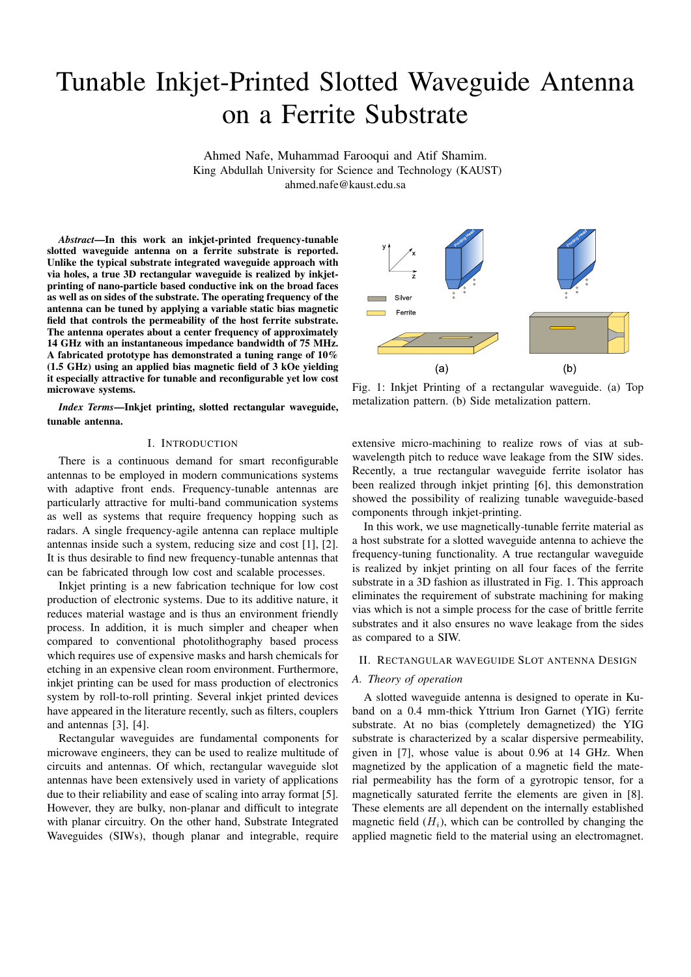# Tunable Inkjet-Printed Slotted Waveguide Antenna on a Ferrite Substrate

Ahmed Nafe, Muhammad Farooqui and Atif Shamim. King Abdullah University for Science and Technology (KAUST) ahmed.nafe@kaust.edu.sa

*Abstract*—In this work an inkjet-printed frequency-tunable slotted waveguide antenna on a ferrite substrate is reported. Unlike the typical substrate integrated waveguide approach with via holes, a true 3D rectangular waveguide is realized by inkjetprinting of nano-particle based conductive ink on the broad faces as well as on sides of the substrate. The operating frequency of the antenna can be tuned by applying a variable static bias magnetic field that controls the permeability of the host ferrite substrate. The antenna operates about a center frequency of approximately 14 GHz with an instantaneous impedance bandwidth of 75 MHz. A fabricated prototype has demonstrated a tuning range of 10% (1.5 GHz) using an applied bias magnetic field of 3 kOe yielding it especially attractive for tunable and reconfigurable yet low cost microwave systems.

*Index Terms*—Inkjet printing, slotted rectangular waveguide, tunable antenna.

## I. INTRODUCTION

There is a continuous demand for smart reconfigurable antennas to be employed in modern communications systems with adaptive front ends. Frequency-tunable antennas are particularly attractive for multi-band communication systems as well as systems that require frequency hopping such as radars. A single frequency-agile antenna can replace multiple antennas inside such a system, reducing size and cost [1], [2]. It is thus desirable to find new frequency-tunable antennas that can be fabricated through low cost and scalable processes.

Inkjet printing is a new fabrication technique for low cost production of electronic systems. Due to its additive nature, it reduces material wastage and is thus an environment friendly process. In addition, it is much simpler and cheaper when compared to conventional photolithography based process which requires use of expensive masks and harsh chemicals for etching in an expensive clean room environment. Furthermore, inkjet printing can be used for mass production of electronics system by roll-to-roll printing. Several inkjet printed devices have appeared in the literature recently, such as filters, couplers and antennas [3], [4].

Rectangular waveguides are fundamental components for microwave engineers, they can be used to realize multitude of circuits and antennas. Of which, rectangular waveguide slot antennas have been extensively used in variety of applications due to their reliability and ease of scaling into array format [5]. However, they are bulky, non-planar and difficult to integrate with planar circuitry. On the other hand, Substrate Integrated Waveguides (SIWs), though planar and integrable, require



Fig. 1: Inkjet Printing of a rectangular waveguide. (a) Top metalization pattern. (b) Side metalization pattern.

extensive micro-machining to realize rows of vias at subwavelength pitch to reduce wave leakage from the SIW sides. Recently, a true rectangular waveguide ferrite isolator has been realized through inkjet printing [6], this demonstration showed the possibility of realizing tunable waveguide-based components through inkjet-printing.

In this work, we use magnetically-tunable ferrite material as a host substrate for a slotted waveguide antenna to achieve the frequency-tuning functionality. A true rectangular waveguide is realized by inkjet printing on all four faces of the ferrite substrate in a 3D fashion as illustrated in Fig. 1. This approach eliminates the requirement of substrate machining for making vias which is not a simple process for the case of brittle ferrite substrates and it also ensures no wave leakage from the sides as compared to a SIW.

### II. RECTANGULAR WAVEGUIDE SLOT ANTENNA DESIGN

### *A. Theory of operation*

A slotted waveguide antenna is designed to operate in Kuband on a 0.4 mm-thick Yttrium Iron Garnet (YIG) ferrite substrate. At no bias (completely demagnetized) the YIG substrate is characterized by a scalar dispersive permeability, given in [7], whose value is about 0.96 at 14 GHz. When magnetized by the application of a magnetic field the material permeability has the form of a gyrotropic tensor, for a magnetically saturated ferrite the elements are given in [8]. These elements are all dependent on the internally established magnetic field  $(H_i)$ , which can be controlled by changing the applied magnetic field to the material using an electromagnet.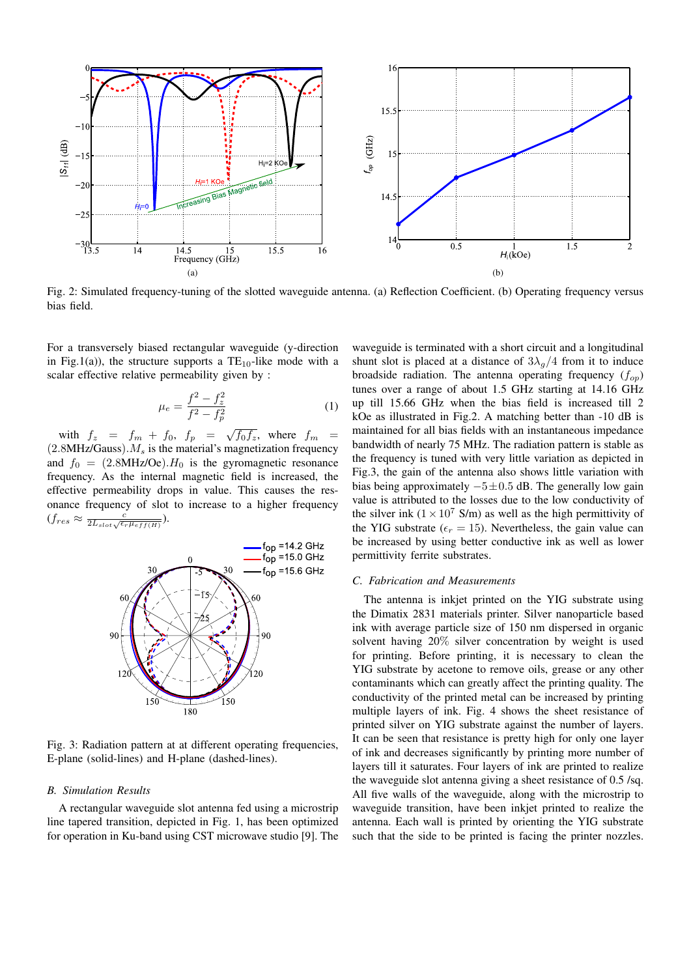

Fig. 2: Simulated frequency-tuning of the slotted waveguide antenna. (a) Reflection Coefficient. (b) Operating frequency versus bias field.

For a transversely biased rectangular waveguide (y-direction in Fig.1(a)), the structure supports a  $TE_{10}$ -like mode with a scalar effective relative permeability given by :

$$
\mu_e = \frac{f^2 - f_z^2}{f^2 - f_p^2} \tag{1}
$$

with  $f_z = f_m + f_0$ ,  $f_p = \sqrt{f_0 f_z}$ , where  $f_m =$  $(2.8MHz/Gauss)$ .  $M_s$  is the material's magnetization frequency and  $f_0 = (2.8 \text{MHz}/\text{Oe}) \cdot H_0$  is the gyromagnetic resonance frequency. As the internal magnetic field is increased, the effective permeability drops in value. This causes the resonance frequency of slot to increase to a higher frequency  $(f_{res} \approx \frac{c}{2L_{slot}\sqrt{\epsilon_r \mu_{eff(H)}}}).$ 



Fig. 3: Radiation pattern at at different operating frequencies, E-plane (solid-lines) and H-plane (dashed-lines).

#### *B. Simulation Results*

A rectangular waveguide slot antenna fed using a microstrip line tapered transition, depicted in Fig. 1, has been optimized for operation in Ku-band using CST microwave studio [9]. The

waveguide is terminated with a short circuit and a longitudinal shunt slot is placed at a distance of  $3\lambda_q/4$  from it to induce broadside radiation. The antenna operating frequency  $(f_{op})$ tunes over a range of about 1.5 GHz starting at 14.16 GHz up till 15.66 GHz when the bias field is increased till 2 kOe as illustrated in Fig.2. A matching better than -10 dB is maintained for all bias fields with an instantaneous impedance bandwidth of nearly 75 MHz. The radiation pattern is stable as the frequency is tuned with very little variation as depicted in Fig.3, the gain of the antenna also shows little variation with bias being approximately  $-5±0.5$  dB. The generally low gain value is attributed to the losses due to the low conductivity of the silver ink  $(1 \times 10^7 \text{ S/m})$  as well as the high permittivity of the YIG substrate ( $\epsilon_r = 15$ ). Nevertheless, the gain value can be increased by using better conductive ink as well as lower permittivity ferrite substrates.

### *C. Fabrication and Measurements*

The antenna is inkjet printed on the YIG substrate using the Dimatix 2831 materials printer. Silver nanoparticle based ink with average particle size of 150 nm dispersed in organic solvent having 20% silver concentration by weight is used for printing. Before printing, it is necessary to clean the YIG substrate by acetone to remove oils, grease or any other contaminants which can greatly affect the printing quality. The conductivity of the printed metal can be increased by printing multiple layers of ink. Fig. 4 shows the sheet resistance of printed silver on YIG substrate against the number of layers. It can be seen that resistance is pretty high for only one layer of ink and decreases significantly by printing more number of layers till it saturates. Four layers of ink are printed to realize the waveguide slot antenna giving a sheet resistance of 0.5 /sq. All five walls of the waveguide, along with the microstrip to waveguide transition, have been inkjet printed to realize the antenna. Each wall is printed by orienting the YIG substrate such that the side to be printed is facing the printer nozzles.